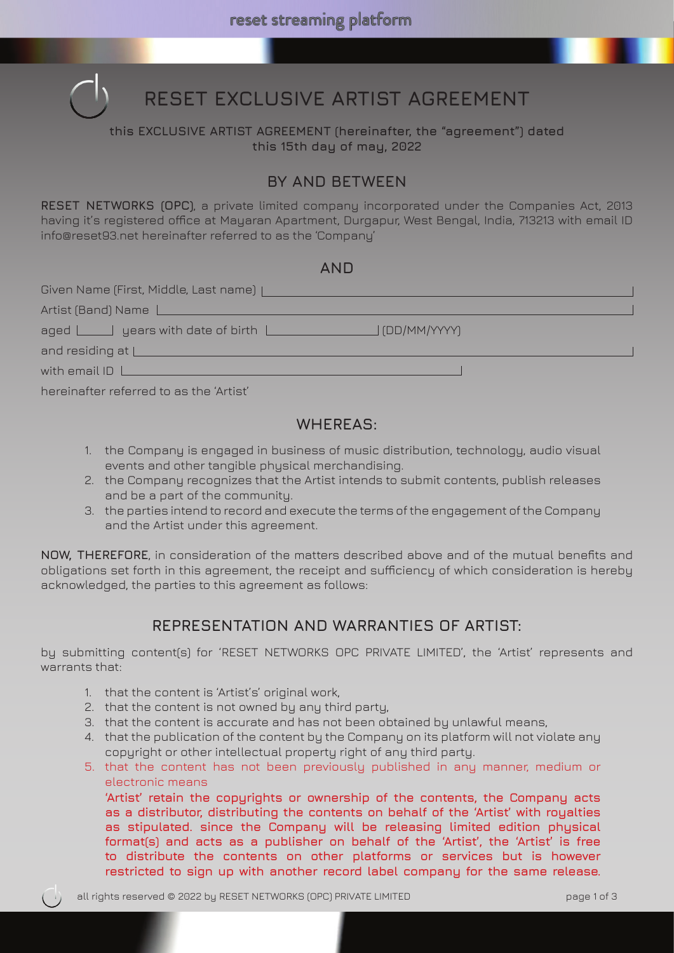

# **RESET EXCLUSIVE ARTIST AGREEMENT**

#### **this EXCLUSIVE ARTIST AGREEMENT (hereinafter, the "agreement") dated this 15th day of may, 2022**

# **BY AND BETWEEN**

**RESET NETWORKS (OPC)**, a private limited company incorporated under the Companies Act, 2013 having it's registered office at Mayaran Apartment, Durgapur, West Bengal, India, 713213 with email ID info@reset93.net hereinafter referred to as the 'Company'

| Given Name (First, Middle, Last name)                           |  |
|-----------------------------------------------------------------|--|
| Artist (Band) Name                                              |  |
| aged <u>same and years</u> with date of birth<br>J (DD/MM/YYYY) |  |
| and residing at $\lfloor$                                       |  |
| with email ID $\Box$                                            |  |
|                                                                 |  |

hereinafter referred to as the 'Artist'

#### **WHEREAS:**

- 1. the Company is engaged in business of music distribution, technology, audio visual events and other tangible physical merchandising.
- 2. the Company recognizes that the Artist intends to submit contents, publish releases and be a part of the community.
- 3. the parties intend to record and execute the terms of the engagement of the Company and the Artist under this agreement.

**NOW, THEREFORE**, in consideration of the matters described above and of the mutual benefits and obligations set forth in this agreement, the receipt and sufficiency of which consideration is hereby acknowledged, the parties to this agreement as follows:

# **REPRESENTATION AND WARRANTIES OF ARTIST:**

by submitting content(s) for 'RESET NETWORKS OPC PRIVATE LIMITED', the 'Artist' represents and warrants that:

- 1. that the content is 'Artist's' original work,
- 2. that the content is not owned by any third party,
- 3. that the content is accurate and has not been obtained by unlawful means,
- 4. that the publication of the content by the Company on its platform will not violate any copyright or other intellectual property right of any third party.
- 5. that the content has not been previously published in any manner, medium or electronic means

**'Artist' retain the copyrights or ownership of the contents, the Company acts as a distributor, distributing the contents on behalf of the 'Artist' with royalties as stipulated. since the Company will be releasing limited edition physical format(s) and acts as a publisher on behalf of the 'Artist', the 'Artist' is free to distribute the contents on other platforms or services but is however restricted to sign up with another record label company for the same release.**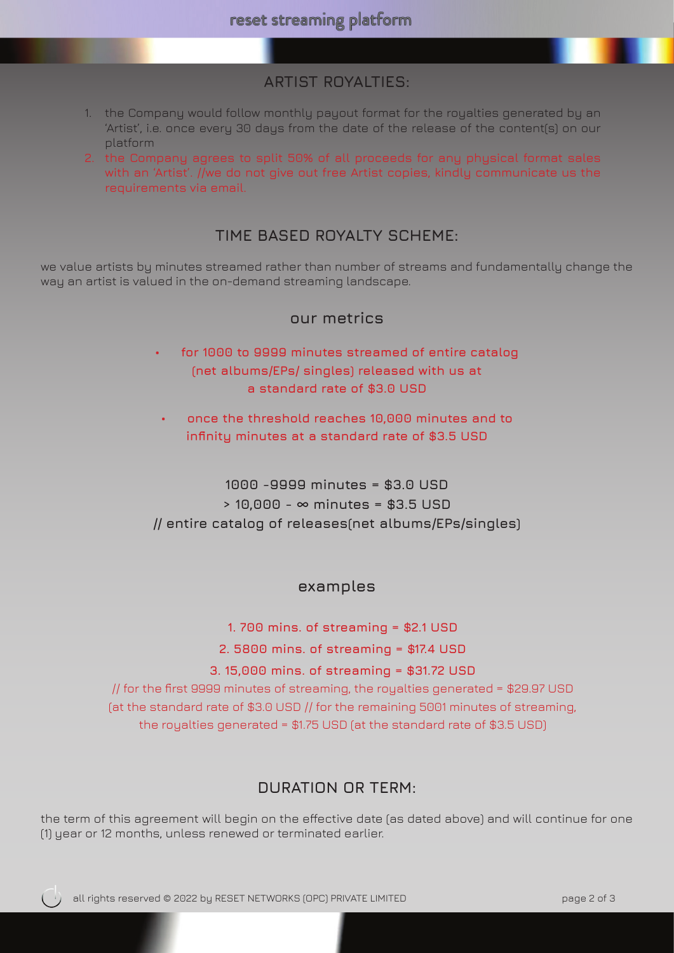# **ARTIST ROYALTIES:**

- 1. the Company would follow monthly payout format for the royalties generated by an 'Artist', i.e. once every 30 days from the date of the release of the content(s) on our platform
- 2. the Company agrees to split 50% of all proceeds for any physical format sales with an 'Artist'. //we do not give out free Artist copies, kindly communicate us the requirements via email.

# **TIME BASED ROYALTY SCHEME:**

we value artists by minutes streamed rather than number of streams and fundamentally change the way an artist is valued in the on-demand streaming landscape.

#### **our metrics**

- **• for 1000 to 9999 minutes streamed of entire catalog (net albums/EPs/ singles) released with us at a standard rate of \$3.0 USD**
- **• once the threshold reaches 10,000 minutes and to infinity minutes at a standard rate of \$3.5 USD**

**1000 -9999 minutes = \$3.0 USD > 10,000 - ∞ minutes = \$3.5 USD // entire catalog of releases(net albums/EPs/singles)**

#### **examples**

**1. 700 mins. of streaming = \$2.1 USD**

**2. 5800 mins. of streaming = \$17.4 USD**

**3. 15,000 mins. of streaming = \$31.72 USD** 

// for the first 9999 minutes of streaming, the royalties generated = \$29.97 USD (at the standard rate of \$3.0 USD // for the remaining 5001 minutes of streaming, the royalties generated = \$1.75 USD (at the standard rate of \$3.5 USD)

### **DURATION OR TERM:**

the term of this agreement will begin on the effective date (as dated above) and will continue for one (1) year or 12 months, unless renewed or terminated earlier.